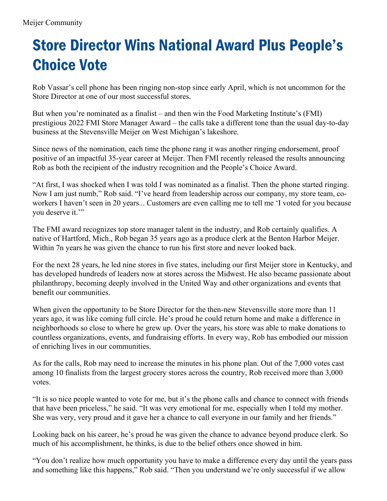## Store Director Wins National Award Plus People's Choice Vote

Rob Vassar's cell phone has been ringing non-stop since early April, which is not uncommon for the Store Director at one of our most successful stores.

But when you're nominated as a finalist – and then win the Food Marketing Institute's (FMI) prestigious 2022 FMI Store Manager Award – the calls take a different tone than the usual day-to-day business at the Stevensville Meijer on West Michigan's lakeshore.

Since news of the nomination, each time the phone rang it was another ringing endorsement, proof positive of an impactful 35-year career at Meijer. Then FMI recently released the results announcing Rob as both the recipient of the industry recognition and the People's Choice Award.

"At first, I was shocked when I was told I was nominated as a finalist. Then the phone started ringing. Now I am just numb," Rob said. "I've heard from leadership across our company, my store team, coworkers I haven't seen in 20 years... Customers are even calling me to tell me 'I voted for you because you deserve it."

The FMI award recognizes top store manager talent in the industry, and Rob certainly qualifies. A native of Hartford, Mich., Rob began 35 years ago as a produce clerk at the Benton Harbor Meijer. Within 7n years he was given the chance to run his first store and never looked back.

For the next 28 years, he led nine stores in five states, including our first Meijer store in Kentucky, and has developed hundreds of leaders now at stores across the Midwest. He also became passionate about philanthropy, becoming deeply involved in the United Way and other organizations and events that benefit our communities.

When given the opportunity to be Store Director for the then-new Stevensville store more than 11 years ago, it was like coming full circle. He's proud he could return home and make a difference in neighborhoods so close to where he grew up. Over the years, his store was able to make donations to countless organizations, events, and fundraising efforts. In every way, Rob has embodied our mission of enriching lives in our communities.

As for the calls, Rob may need to increase the minutes in his phone plan. Out of the 7,000 votes cast among 10 finalists from the largest grocery stores across the country, Rob received more than 3,000 votes.

"It is so nice people wanted to vote for me, but it's the phone calls and chance to connect with friends that have been priceless," he said. "It was very emotional for me, especially when I told my mother. She was very, very proud and it gave her a chance to call everyone in our family and her friends."

Looking back on his career, he's proud he was given the chance to advance beyond produce clerk. So much of his accomplishment, he thinks, is due to the belief others once showed in him.

"You don't realize how much opportunity you have to make a difference every day until the years pass and something like this happens," Rob said. "Then you understand we're only successful if we allow